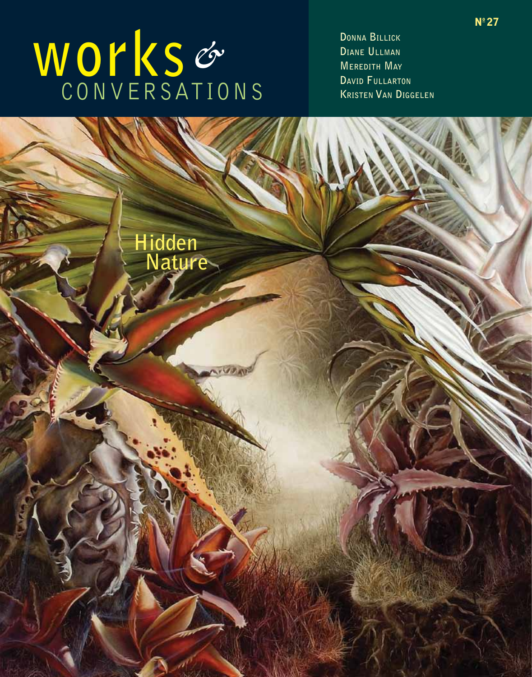# **works** *&* conversations

**Donna Billick Diane Ullman Meredith May David Fullarton Kristen Van Diggelen**

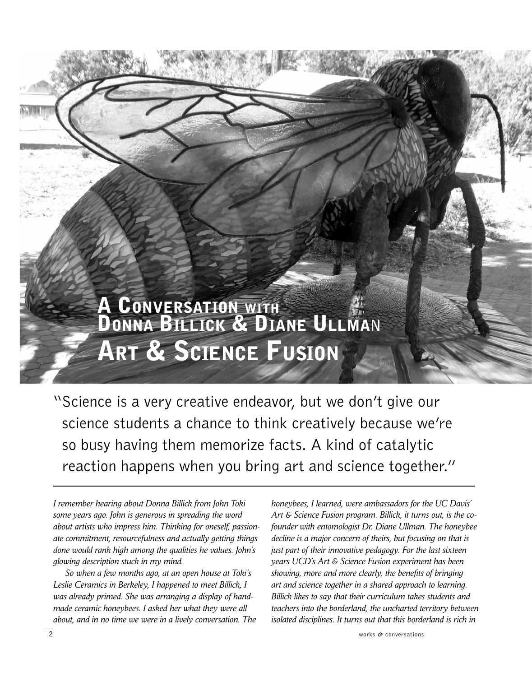## **A CONVERSATION WITH** Donna Billick & Diane Ullma**<sup>n</sup>** Art & Science Fusion

"Science is a very creative endeavor, but we don't give our science students a chance to think creatively because we're so busy having them memorize facts. A kind of catalytic reaction happens when you bring art and science together."

*I remember hearing about Donna Billick from John Toki some years ago. John is generous in spreading the word about artists who impress him. Thinking for oneself, passionate commitment, resourcefulness and actually getting things done would rank high among the qualities he values. John's glowing description stuck in my mind.* 

 *So when a few months ago, at an open house at Toki's Leslie Ceramics in Berkeley, I happened to meet Billick, I was already primed. She was arranging a display of handmade ceramic honeybees. I asked her what they were all about, and in no time we were in a lively conversation. The* 

*honeybees, I learned, were ambassadors for the UC Davis' Art & Science Fusion program. Billick, it turns out, is the cofounder with entomologist Dr. Diane Ullman. The honeybee decline is a major concern of theirs, but focusing on that is just part of their innovative pedagogy. For the last sixteen years UCD's Art & Science Fusion experiment has been showing, more and more clearly, the benefits of bringing art and science together in a shared approach to learning. Billick likes to say that their curriculum takes students and teachers into the borderland, the uncharted territory between isolated disciplines. It turns out that this borderland is rich in*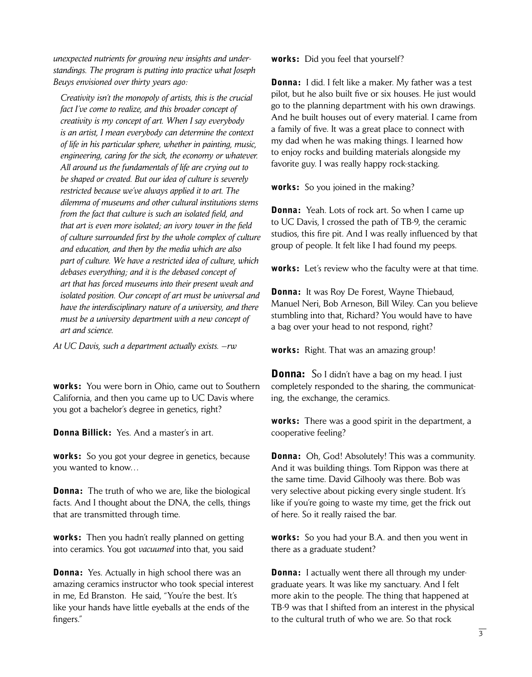*unexpected nutrients for growing new insights and understandings. The program is putting into practice what Joseph Beuys envisioned over thirty years ago:* 

 *Creativity isn't the monopoly of artists, this is the crucial fact I've come to realize, and this broader concept of creativity is my concept of art. When I say everybody is an artist, I mean everybody can determine the context of life in his particular sphere, whether in painting, music, engineering, caring for the sick, the economy or whatever. All around us the fundamentals of life are crying out to be shaped or created. But our idea of culture is severely restricted because we've always applied it to art. The dilemma of museums and other cultural institutions stems from the fact that culture is such an isolated field, and that art is even more isolated; an ivory tower in the field of culture surrounded first by the whole complex of culture and education, and then by the media which are also part of culture. We have a restricted idea of culture, which debases everything; and it is the debased concept of art that has forced museums into their present weak and isolated position. Our concept of art must be universal and have the interdisciplinary nature of a university, and there must be a university department with a new concept of art and science.* 

*At UC Davis, such a department actually exists. —rw* 

works: You were born in Ohio, came out to Southern California, and then you came up to UC Davis where you got a bachelor's degree in genetics, right?

**Donna Billick:** Yes. And a master's in art.

**works:** So you got your degree in genetics, because you wanted to know…

**Donna:** The truth of who we are, like the biological facts. And I thought about the DNA, the cells, things that are transmitted through time.

**works:** Then you hadn't really planned on getting into ceramics. You got *vacuumed* into that, you said

**Donna:** Yes. Actually in high school there was an amazing ceramics instructor who took special interest in me, Ed Branston. He said, "You're the best. It's like your hands have little eyeballs at the ends of the fingers."

works: Did you feel that yourself?

**Donna:** I did. I felt like a maker. My father was a test pilot, but he also built five or six houses. He just would go to the planning department with his own drawings. And he built houses out of every material. I came from a family of five. It was a great place to connect with my dad when he was making things. I learned how to enjoy rocks and building materials alongside my favorite guy. I was really happy rock-stacking.

works: So you joined in the making?

**Donna:** Yeah. Lots of rock art. So when I came up to UC Davis, I crossed the path of TB-9, the ceramic studios, this fire pit. And I was really influenced by that group of people. It felt like I had found my peeps.

works: Let's review who the faculty were at that time.

**Donna:** It was Roy De Forest, Wayne Thiebaud, Manuel Neri, Bob Arneson, Bill Wiley. Can you believe stumbling into that, Richard? You would have to have a bag over your head to not respond, right?

works: Right. That was an amazing group!

**Donna:** So I didn't have a bag on my head. I just completely responded to the sharing, the communicating, the exchange, the ceramics.

**works:** There was a good spirit in the department, a cooperative feeling?

**Donna:** Oh, God! Absolutely! This was a community. And it was building things. Tom Rippon was there at the same time. David Gilhooly was there. Bob was very selective about picking every single student. It's like if you're going to waste my time, get the frick out of here. So it really raised the bar.

works: So you had your B.A. and then you went in there as a graduate student?

**Donna:** I actually went there all through my undergraduate years. It was like my sanctuary. And I felt more akin to the people. The thing that happened at TB-9 was that I shifted from an interest in the physical to the cultural truth of who we are. So that rock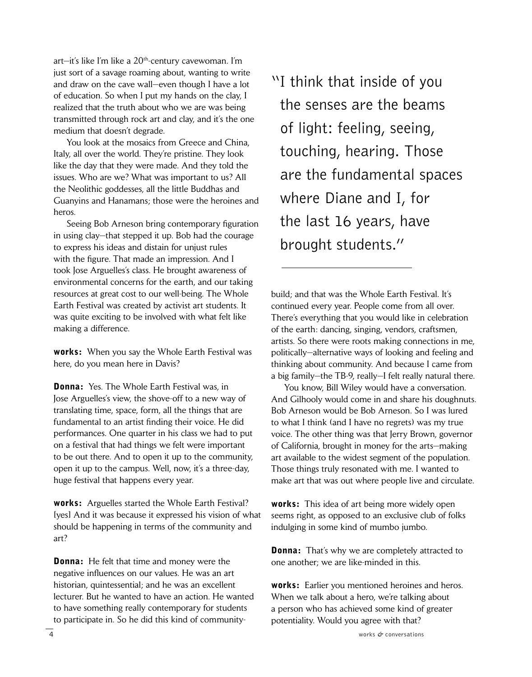art—it's like I'm like a 20th-century cavewoman. I'm just sort of a savage roaming about, wanting to write and draw on the cave wall—even though I have a lot of education. So when I put my hands on the clay, I realized that the truth about who we are was being transmitted through rock art and clay, and it's the one medium that doesn't degrade.

 You look at the mosaics from Greece and China, Italy, all over the world. They're pristine. They look like the day that they were made. And they told the issues. Who are we? What was important to us? All the Neolithic goddesses, all the little Buddhas and Guanyins and Hanamans; those were the heroines and heros.

 Seeing Bob Arneson bring contemporary figuration in using clay—that stepped it up. Bob had the courage to express his ideas and distain for unjust rules with the figure. That made an impression. And I took Jose Arguelles's class. He brought awareness of environmental concerns for the earth, and our taking resources at great cost to our well-being. The Whole Earth Festival was created by activist art students. It was quite exciting to be involved with what felt like making a difference.

works: When you say the Whole Earth Festival was here, do you mean here in Davis?

**Donna:** Yes. The Whole Earth Festival was, in Jose Arguelles's view, the shove-off to a new way of translating time, space, form, all the things that are fundamental to an artist finding their voice. He did performances. One quarter in his class we had to put on a festival that had things we felt were important to be out there. And to open it up to the community, open it up to the campus. Well, now, it's a three-day, huge festival that happens every year.

works: Arguelles started the Whole Earth Festival? [yes] And it was because it expressed his vision of what should be happening in terms of the community and art?

**Donna:** He felt that time and money were the negative influences on our values. He was an art historian, quintessential; and he was an excellent lecturer. But he wanted to have an action. He wanted to have something really contemporary for students to participate in. So he did this kind of community"I think that inside of you the senses are the beams of light: feeling, seeing, touching, hearing. Those are the fundamental spaces where Diane and I, for the last 16 years, have brought students."

build; and that was the Whole Earth Festival. It's continued every year. People come from all over. There's everything that you would like in celebration of the earth: dancing, singing, vendors, craftsmen, artists. So there were roots making connections in me, politically—alternative ways of looking and feeling and thinking about community. And because I came from a big family—the TB-9, really—I felt really natural there.

 You know, Bill Wiley would have a conversation. And Gilhooly would come in and share his doughnuts. Bob Arneson would be Bob Arneson. So I was lured to what I think (and I have no regrets) was my true voice. The other thing was that Jerry Brown, governor of California, brought in money for the arts—making art available to the widest segment of the population. Those things truly resonated with me. I wanted to make art that was out where people live and circulate.

works: This idea of art being more widely open seems right, as opposed to an exclusive club of folks indulging in some kind of mumbo jumbo.

**Donna:** That's why we are completely attracted to one another; we are like-minded in this.

works: Earlier you mentioned heroines and heros. When we talk about a hero, we're talking about a person who has achieved some kind of greater potentiality. Would you agree with that?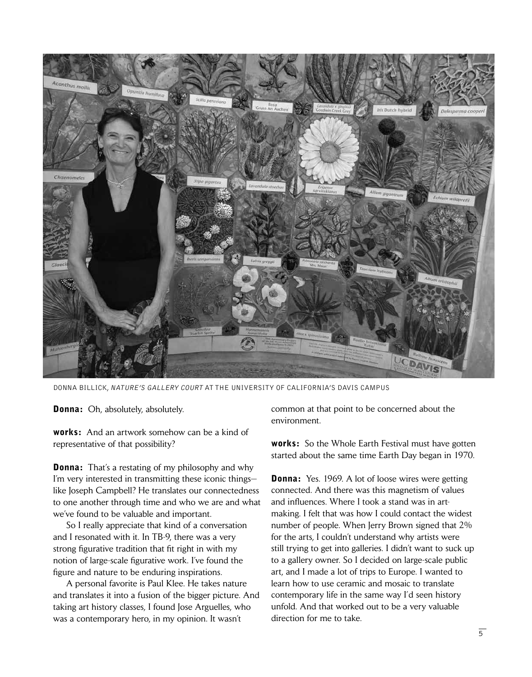

donna billick, nature's gallery court at the University of California's Davis campus

**Donna:** Oh, absolutely, absolutely.

works: And an artwork somehow can be a kind of representative of that possibility?

**Donna:** That's a restating of my philosophy and why I'm very interested in transmitting these iconic things like Joseph Campbell? He translates our connectedness to one another through time and who we are and what we've found to be valuable and important.

 So I really appreciate that kind of a conversation and I resonated with it. In TB-9, there was a very strong figurative tradition that fit right in with my notion of large-scale figurative work. I've found the figure and nature to be enduring inspirations.

 A personal favorite is Paul Klee. He takes nature and translates it into a fusion of the bigger picture. And taking art history classes, I found Jose Arguelles, who was a contemporary hero, in my opinion. It wasn't

common at that point to be concerned about the environment.

**works:** So the Whole Earth Festival must have gotten started about the same time Earth Day began in 1970.

**Donna:** Yes. 1969. A lot of loose wires were getting connected. And there was this magnetism of values and influences. Where I took a stand was in artmaking. I felt that was how I could contact the widest number of people. When Jerry Brown signed that 2% for the arts, I couldn't understand why artists were still trying to get into galleries. I didn't want to suck up to a gallery owner. So I decided on large-scale public art, and I made a lot of trips to Europe. I wanted to learn how to use ceramic and mosaic to translate contemporary life in the same way I'd seen history unfold. And that worked out to be a very valuable direction for me to take.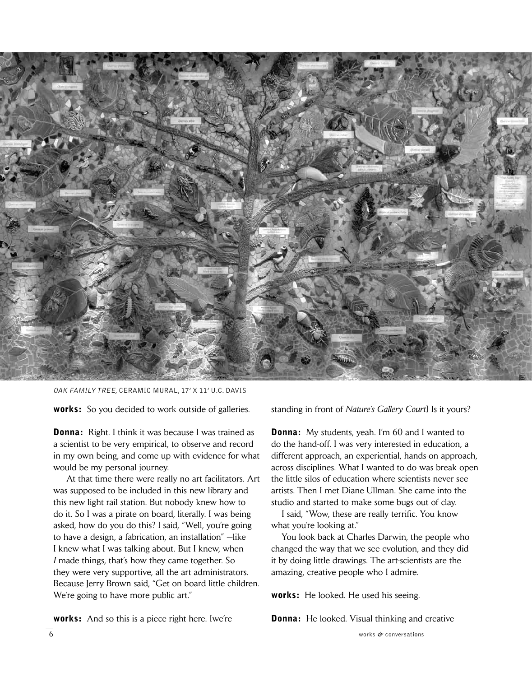

oak family tree, ceramic mural, 17' x 11' U.c. Davis

works: So you decided to work outside of galleries.

**Donna:** Right. I think it was because I was trained as a scientist to be very empirical, to observe and record in my own being, and come up with evidence for what would be my personal journey.

 At that time there were really no art facilitators. Art was supposed to be included in this new library and this new light rail station. But nobody knew how to do it. So I was a pirate on board, literally. I was being asked, how do you do this? I said, "Well, you're going to have a design, a fabrication, an installation" —like I knew what I was talking about. But I knew, when *I* made things, that's how they came together. So they were very supportive, all the art administrators. Because Jerry Brown said, "Get on board little children. We're going to have more public art."

standing in front of *Nature's Gallery Court*] Is it yours?

**Donna:** My students, yeah. I'm 60 and I wanted to do the hand-off. I was very interested in education, a different approach, an experiential, hands-on approach, across disciplines. What I wanted to do was break open the little silos of education where scientists never see artists. Then I met Diane Ullman. She came into the studio and started to make some bugs out of clay.

 I said, "Wow, these are really terrific. You know what you're looking at."

 You look back at Charles Darwin, the people who changed the way that we see evolution, and they did it by doing little drawings. The art-scientists are the amazing, creative people who I admire.

works: He looked. He used his seeing.

**Donna:** He looked. Visual thinking and creative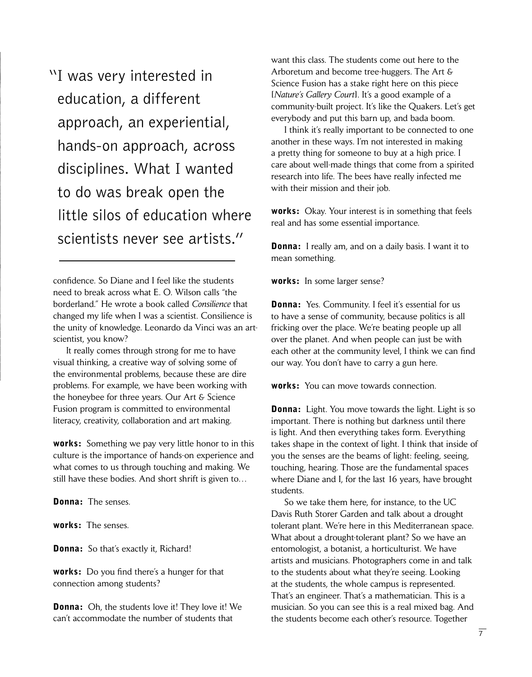"I was very interested in education, a different approach, an experiential, hands-on approach, across disciplines. What I wanted to do was break open the little silos of education where scientists never see artists."

confidence. So Diane and I feel like the students need to break across what E. O. Wilson calls "the borderland." He wrote a book called *Consilience* that changed my life when I was a scientist. Consilience is the unity of knowledge. Leonardo da Vinci was an artscientist, you know?

 It really comes through strong for me to have visual thinking, a creative way of solving some of the environmental problems, because these are dire problems. For example, we have been working with the honeybee for three years. Our Art & Science Fusion program is committed to environmental literacy, creativity, collaboration and art making.

works: Something we pay very little honor to in this culture is the importance of hands-on experience and what comes to us through touching and making. We still have these bodies. And short shrift is given to…

Donna: The senses.

works: The senses.

**Donna:** So that's exactly it, Richard!

works: Do you find there's a hunger for that connection among students?

**Donna:** Oh, the students love it! They love it! We can't accommodate the number of students that

want this class. The students come out here to the Arboretum and become tree-huggers. The Art & Science Fusion has a stake right here on this piece [*Nature's Gallery Court*]. It's a good example of a community-built project. It's like the Quakers. Let's get everybody and put this barn up, and bada boom.

 I think it's really important to be connected to one another in these ways. I'm not interested in making a pretty thing for someone to buy at a high price. I care about well-made things that come from a spirited research into life. The bees have really infected me with their mission and their job.

works: Okay. Your interest is in something that feels real and has some essential importance.

**Donna:** I really am, and on a daily basis. I want it to mean something.

works: In some larger sense?

**Donna:** Yes. Community. I feel it's essential for us to have a sense of community, because politics is all fricking over the place. We're beating people up all over the planet. And when people can just be with each other at the community level, I think we can find our way. You don't have to carry a gun here.

works: You can move towards connection.

**Donna:** Light. You move towards the light. Light is so important. There is nothing but darkness until there is light. And then everything takes form. Everything takes shape in the context of light. I think that inside of you the senses are the beams of light: feeling, seeing, touching, hearing. Those are the fundamental spaces where Diane and I, for the last 16 years, have brought students.

 So we take them here, for instance, to the UC Davis Ruth Storer Garden and talk about a drought tolerant plant. We're here in this Mediterranean space. What about a drought-tolerant plant? So we have an entomologist, a botanist, a horticulturist. We have artists and musicians. Photographers come in and talk to the students about what they're seeing. Looking at the students, the whole campus is represented. That's an engineer. That's a mathematician. This is a musician. So you can see this is a real mixed bag. And the students become each other's resource. Together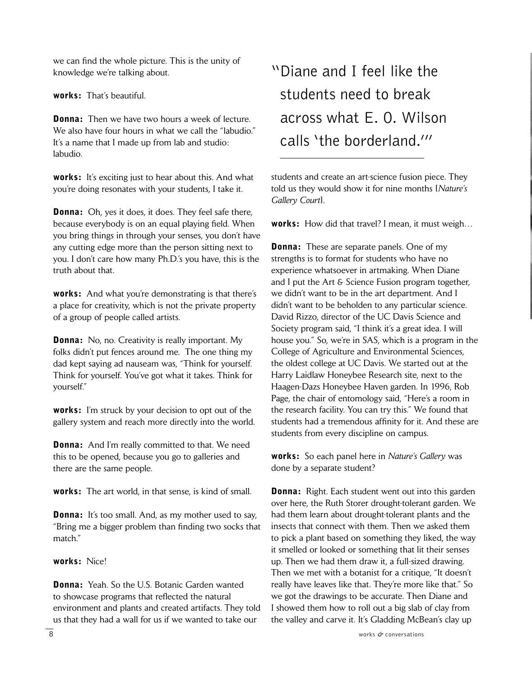we can find the whole picture. This is the unity of knowledge we're talking about.

works: That's beautiful.

**Donna:** Then we have two hours a week of lecture. We also have four hours in what we call the "labudio." It's a name that I made up from lab and studio: labudio.

works: It's exciting just to hear about this. And what you're doing resonates with your students, I take it.

**Donna:** Oh, yes it does, it does. They feel safe there, because everybody is on an equal playing field. When you bring things in through your senses, you don't have any cutting edge more than the person sitting next to you. I don't care how many Ph.D.'s you have, this is the truth about that.

works: And what you're demonstrating is that there's a place for creativity, which is not the private property of a group of people called artists.

**Donna:** No, no. Creativity is really important. My folks didn't put fences around me. The one thing my dad kept saying ad nauseam was, "Think for yourself. Think for yourself. You've got what it takes. Think for yourself."

works: I'm struck by your decision to opt out of the gallery system and reach more directly into the world.

**Donna:** And I'm really committed to that. We need this to be opened, because you go to galleries and there are the same people.

works: The art world, in that sense, is kind of small.

**Donna:** It's too small. And, as my mother used to say, "Bring me a bigger problem than finding two socks that match."

works: Nice!

Donna: Yeah. So the U.S. Botanic Garden wanted to showcase programs that reflected the natural environment and plants and created artifacts. They told us that they had a wall for us if we wanted to take our

### "Diane and I feel like the students need to break across what E. O. Wilson calls 'the borderland.'"

students and create an art-science fusion piece. They told us they would show it for nine months [*Nature's Gallery Court*].

works: How did that travel? I mean, it must weigh…

**Donna:** These are separate panels. One of my strengths is to format for students who have no experience whatsoever in artmaking. When Diane and I put the Art & Science Fusion program together, we didn't want to be in the art department. And I didn't want to be beholden to any particular science. David Rizzo, director of the UC Davis Science and Society program said, "I think it's a great idea. I will house you." So, we're in SAS, which is a program in the College of Agriculture and Environmental Sciences, the oldest college at UC Davis. We started out at the Harry Laidlaw Honeybee Research site, next to the Haagen-Dazs Honeybee Haven garden. In 1996, Rob Page, the chair of entomology said, "Here's a room in the research facility. You can try this." We found that students had a tremendous affinity for it. And these are students from every discipline on campus.

works: So each panel here in *Nature's Gallery* was done by a separate student?

**Donna:** Right. Each student went out into this garden over here, the Ruth Storer drought-tolerant garden. We had them learn about drought-tolerant plants and the insects that connect with them. Then we asked them to pick a plant based on something they liked, the way it smelled or looked or something that lit their senses up. Then we had them draw it, a full-sized drawing. Then we met with a botanist for a critique, "It doesn't really have leaves like that. They're more like that." So we got the drawings to be accurate. Then Diane and I showed them how to roll out a big slab of clay from the valley and carve it. It's Gladding McBean's clay up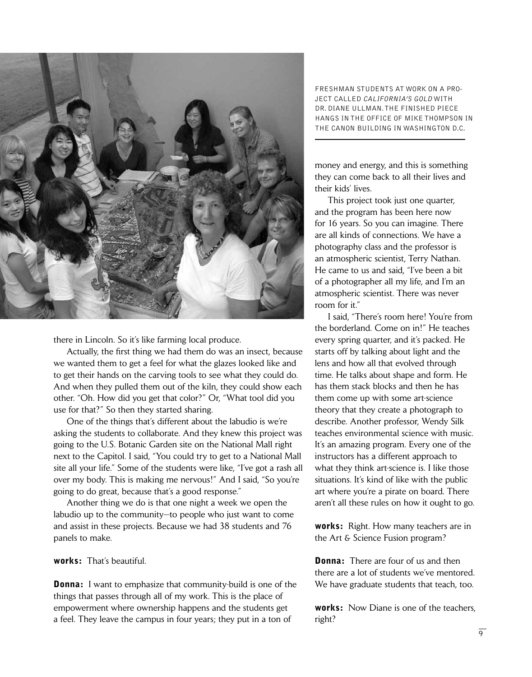

there in Lincoln. So it's like farming local produce.

 Actually, the first thing we had them do was an insect, because we wanted them to get a feel for what the glazes looked like and to get their hands on the carving tools to see what they could do. And when they pulled them out of the kiln, they could show each other. "Oh. How did you get that color?" Or, "What tool did you use for that?" So then they started sharing.

 One of the things that's different about the labudio is we're asking the students to collaborate. And they knew this project was going to the U.S. Botanic Garden site on the National Mall right next to the Capitol. I said, "You could try to get to a National Mall site all your life." Some of the students were like, "I've got a rash all over my body. This is making me nervous!" And I said, "So you're going to do great, because that's a good response."

 Another thing we do is that one night a week we open the labudio up to the community—to people who just want to come and assist in these projects. Because we had 38 students and 76 panels to make.

works: That's beautiful.

**Donna:** I want to emphasize that community-build is one of the things that passes through all of my work. This is the place of empowerment where ownership happens and the students get a feel. They leave the campus in four years; they put in a ton of

freshman students at work on a project called California's Gold with dr. diane ullman. the finished piece hangs in the office of Mike Thompson in the Canon Building in Washington D.C.

money and energy, and this is something they can come back to all their lives and their kids' lives.

 This project took just one quarter, and the program has been here now for 16 years. So you can imagine. There are all kinds of connections. We have a photography class and the professor is an atmospheric scientist, Terry Nathan. He came to us and said, "I've been a bit of a photographer all my life, and I'm an atmospheric scientist. There was never room for it."

 I said, "There's room here! You're from the borderland. Come on in!" He teaches every spring quarter, and it's packed. He starts off by talking about light and the lens and how all that evolved through time. He talks about shape and form. He has them stack blocks and then he has them come up with some art-science theory that they create a photograph to describe. Another professor, Wendy Silk teaches environmental science with music. It's an amazing program. Every one of the instructors has a different approach to what they think art-science is. I like those situations. It's kind of like with the public art where you're a pirate on board. There aren't all these rules on how it ought to go.

works: Right. How many teachers are in the Art & Science Fusion program?

**Donna:** There are four of us and then there are a lot of students we've mentored. We have graduate students that teach, too.

works: Now Diane is one of the teachers, right?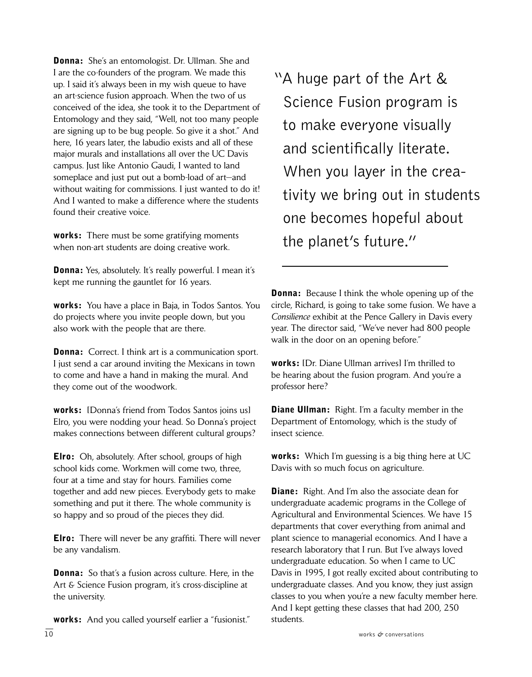**Donna:** She's an entomologist. Dr. Ullman. She and I are the co-founders of the program. We made this up. I said it's always been in my wish queue to have an art-science fusion approach. When the two of us conceived of the idea, she took it to the Department of Entomology and they said, "Well, not too many people are signing up to be bug people. So give it a shot." And here, 16 years later, the labudio exists and all of these major murals and installations all over the UC Davis campus. Just like Antonio Gaudi, I wanted to land someplace and just put out a bomb-load of art—and without waiting for commissions. I just wanted to do it! And I wanted to make a difference where the students found their creative voice.

works: There must be some gratifying moments when non-art students are doing creative work.

**Donna:** Yes, absolutely. It's really powerful. I mean it's kept me running the gauntlet for 16 years.

works: You have a place in Baja, in Todos Santos. You do projects where you invite people down, but you also work with the people that are there.

**Donna:** Correct. I think art is a communication sport. I just send a car around inviting the Mexicans in town to come and have a hand in making the mural. And they come out of the woodwork.

works: [Donna's friend from Todos Santos joins us] Elro, you were nodding your head. So Donna's project makes connections between different cultural groups?

**Elro:** Oh, absolutely. After school, groups of high school kids come. Workmen will come two, three, four at a time and stay for hours. Families come together and add new pieces. Everybody gets to make something and put it there. The whole community is so happy and so proud of the pieces they did.

**Elro:** There will never be any graffiti. There will never be any vandalism.

**Donna:** So that's a fusion across culture. Here, in the Art & Science Fusion program, it's cross-discipline at the university.

 $\overline{10}$  works  $\phi$  conversations works: And you called yourself earlier a "fusionist."

"A huge part of the Art & Science Fusion program is to make everyone visually and scientifically literate. When you layer in the crea tivity we bring out in students one becomes hopeful about the planet's future."

**Donna:** Because I think the whole opening up of the circle, Richard, is going to take some fusion. We have a *Consilience* exhibit at the Pence Gallery in Davis every year. The director said, "We've never had 800 people walk in the door on an opening before."

works: [Dr. Diane Ullman arrives] I'm thrilled to be hearing about the fusion program. And you're a professor here?

**Diane Ullman:** Right. I'm a faculty member in the Department of Entomology, which is the study of insect science.

**works:** Which I'm guessing is a big thing here at UC Davis with so much focus on agriculture.

**Diane:** Right. And I'm also the associate dean for undergraduate academic programs in the College of Agricultural and Environmental Sciences. We have 15 departments that cover everything from animal and plant science to managerial economics. And I have a research laboratory that I run. But I've always loved undergraduate education. So when I came to UC Davis in 1995, I got really excited about contributing to undergraduate classes. And you know, they just assign classes to you when you're a new faculty member here. And I kept getting these classes that had 200, 250 students.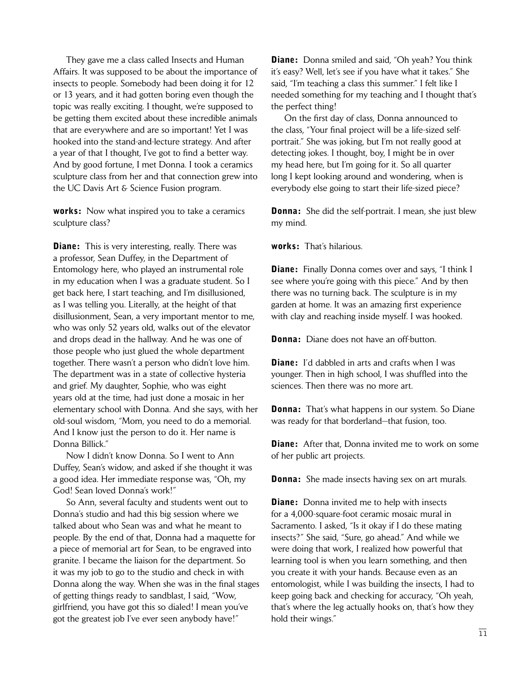They gave me a class called Insects and Human Affairs. It was supposed to be about the importance of insects to people. Somebody had been doing it for 12 or 13 years, and it had gotten boring even though the topic was really exciting. I thought, we're supposed to be getting them excited about these incredible animals that are everywhere and are so important! Yet I was hooked into the stand-and-lecture strategy. And after a year of that I thought, I've got to find a better way. And by good fortune, I met Donna. I took a ceramics sculpture class from her and that connection grew into the UC Davis Art & Science Fusion program.

**works:** Now what inspired you to take a ceramics sculpture class?

**Diane:** This is very interesting, really. There was a professor, Sean Duffey, in the Department of Entomology here, who played an instrumental role in my education when I was a graduate student. So I get back here, I start teaching, and I'm disillusioned, as I was telling you. Literally, at the height of that disillusionment, Sean, a very important mentor to me, who was only 52 years old, walks out of the elevator and drops dead in the hallway. And he was one of those people who just glued the whole department together. There wasn't a person who didn't love him. The department was in a state of collective hysteria and grief. My daughter, Sophie, who was eight years old at the time, had just done a mosaic in her elementary school with Donna. And she says, with her old-soul wisdom, "Mom, you need to do a memorial. And I know just the person to do it. Her name is Donna Billick."

 Now I didn't know Donna. So I went to Ann Duffey, Sean's widow, and asked if she thought it was a good idea. Her immediate response was, "Oh, my God! Sean loved Donna's work!"

 So Ann, several faculty and students went out to Donna's studio and had this big session where we talked about who Sean was and what he meant to people. By the end of that, Donna had a maquette for a piece of memorial art for Sean, to be engraved into granite. I became the liaison for the department. So it was my job to go to the studio and check in with Donna along the way. When she was in the final stages of getting things ready to sandblast, I said, "Wow, girlfriend, you have got this so dialed! I mean you've got the greatest job I've ever seen anybody have!"

**Diane:** Donna smiled and said, "Oh yeah? You think it's easy? Well, let's see if you have what it takes." She said, "I'm teaching a class this summer." I felt like I needed something for my teaching and I thought that's the perfect thing!

 On the first day of class, Donna announced to the class, "Your final project will be a life-sized selfportrait." She was joking, but I'm not really good at detecting jokes. I thought, boy, I might be in over my head here, but I'm going for it. So all quarter long I kept looking around and wondering, when is everybody else going to start their life-sized piece?

**Donna:** She did the self-portrait. I mean, she just blew my mind.

works: That's hilarious.

**Diane:** Finally Donna comes over and says, "I think I see where you're going with this piece." And by then there was no turning back. The sculpture is in my garden at home. It was an amazing first experience with clay and reaching inside myself. I was hooked.

**Donna:** Diane does not have an off-button.

**Diane:** I'd dabbled in arts and crafts when I was younger. Then in high school, I was shuffled into the sciences. Then there was no more art.

**Donna:** That's what happens in our system. So Diane was ready for that borderland—that fusion, too.

**Diane:** After that, Donna invited me to work on some of her public art projects.

**Donna:** She made insects having sex on art murals.

**Diane:** Donna invited me to help with insects for a 4,000-square-foot ceramic mosaic mural in Sacramento. I asked, "Is it okay if I do these mating insects?" She said, "Sure, go ahead." And while we were doing that work, I realized how powerful that learning tool is when you learn something, and then you create it with your hands. Because even as an entomologist, while I was building the insects, I had to keep going back and checking for accuracy, "Oh yeah, that's where the leg actually hooks on, that's how they hold their wings."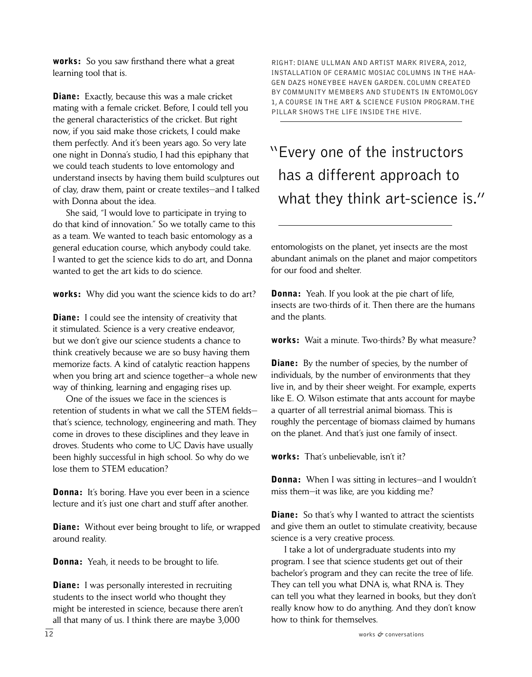works: So you saw firsthand there what a great learning tool that is.

**Diane:** Exactly, because this was a male cricket mating with a female cricket. Before, I could tell you the general characteristics of the cricket. But right now, if you said make those crickets, I could make them perfectly. And it's been years ago. So very late one night in Donna's studio, I had this epiphany that we could teach students to love entomology and understand insects by having them build sculptures out of clay, draw them, paint or create textiles—and I talked with Donna about the idea.

 She said, "I would love to participate in trying to do that kind of innovation." So we totally came to this as a team. We wanted to teach basic entomology as a general education course, which anybody could take. I wanted to get the science kids to do art, and Donna wanted to get the art kids to do science.

works: Why did you want the science kids to do art?

**Diane:** I could see the intensity of creativity that it stimulated. Science is a very creative endeavor, but we don't give our science students a chance to think creatively because we are so busy having them memorize facts. A kind of catalytic reaction happens when you bring art and science together—a whole new way of thinking, learning and engaging rises up.

 One of the issues we face in the sciences is retention of students in what we call the STEM fields that's science, technology, engineering and math. They come in droves to these disciplines and they leave in droves. Students who come to UC Davis have usually been highly successful in high school. So why do we lose them to STEM education?

**Donna:** It's boring. Have you ever been in a science lecture and it's just one chart and stuff after another.

**Diane:** Without ever being brought to life, or wrapped around reality.

**Donna:** Yeah, it needs to be brought to life.

**Diane:** I was personally interested in recruiting students to the insect world who thought they might be interested in science, because there aren't all that many of us. I think there are maybe 3,000

right: diane ullman and artist Mark rivera, 2012, installation of ceramic mosiac columns in the Haagen dazs honeybee haven garden. column created by community members and students in entomology 1, a course in the art & science fusion program. The pillar shows the life inside the hive.

"Every one of the instructors has a different approach to what they think art-science is."

entomologists on the planet, yet insects are the most abundant animals on the planet and major competitors for our food and shelter.

**Donna:** Yeah. If you look at the pie chart of life, insects are two-thirds of it. Then there are the humans and the plants.

works: Wait a minute. Two-thirds? By what measure?

**Diane:** By the number of species, by the number of individuals, by the number of environments that they live in, and by their sheer weight. For example, experts like E. O. Wilson estimate that ants account for maybe a quarter of all terrestrial animal biomass. This is roughly the percentage of biomass claimed by humans on the planet. And that's just one family of insect.

works: That's unbelievable, isn't it?

**Donna:** When I was sitting in lectures—and I wouldn't miss them—it was like, are you kidding me?

**Diane:** So that's why I wanted to attract the scientists and give them an outlet to stimulate creativity, because science is a very creative process.

 I take a lot of undergraduate students into my program. I see that science students get out of their bachelor's program and they can recite the tree of life. They can tell you what DNA is, what RNA is. They can tell you what they learned in books, but they don't really know how to do anything. And they don't know how to think for themselves.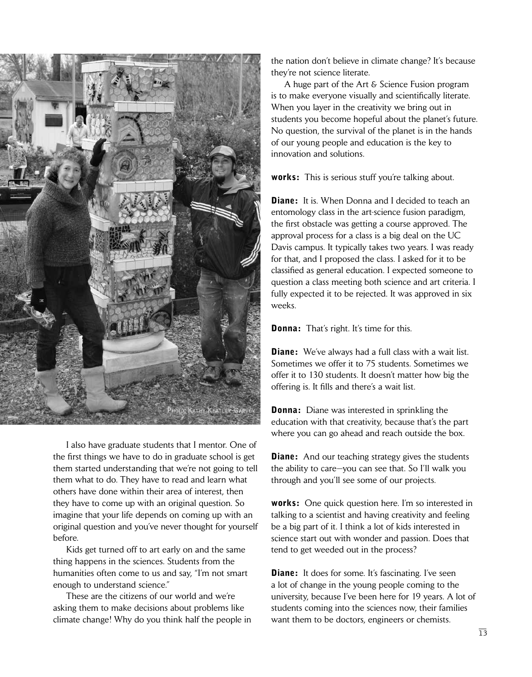

 I also have graduate students that I mentor. One of the first things we have to do in graduate school is get them started understanding that we're not going to tell them what to do. They have to read and learn what others have done within their area of interest, then they have to come up with an original question. So imagine that your life depends on coming up with an original question and you've never thought for yourself before.

 Kids get turned off to art early on and the same thing happens in the sciences. Students from the humanities often come to us and say, "I'm not smart enough to understand science."

 These are the citizens of our world and we're asking them to make decisions about problems like climate change! Why do you think half the people in the nation don't believe in climate change? It's because they're not science literate.

 A huge part of the Art & Science Fusion program is to make everyone visually and scientifically literate. When you layer in the creativity we bring out in students you become hopeful about the planet's future. No question, the survival of the planet is in the hands of our young people and education is the key to innovation and solutions.

**works:** This is serious stuff you're talking about.

**Diane:** It is. When Donna and I decided to teach an entomology class in the art-science fusion paradigm, the first obstacle was getting a course approved. The approval process for a class is a big deal on the UC Davis campus. It typically takes two years. I was ready for that, and I proposed the class. I asked for it to be classified as general education. I expected someone to question a class meeting both science and art criteria. I fully expected it to be rejected. It was approved in six weeks.

**Donna:** That's right. It's time for this.

**Diane:** We've always had a full class with a wait list. Sometimes we offer it to 75 students. Sometimes we offer it to 130 students. It doesn't matter how big the offering is. It fills and there's a wait list.

**Donna:** Diane was interested in sprinkling the education with that creativity, because that's the part where you can go ahead and reach outside the box.

**Diane:** And our teaching strategy gives the students the ability to care—you can see that. So I'll walk you through and you'll see some of our projects.

**works:** One quick question here. I'm so interested in talking to a scientist and having creativity and feeling be a big part of it. I think a lot of kids interested in science start out with wonder and passion. Does that tend to get weeded out in the process?

**Diane:** It does for some. It's fascinating. I've seen a lot of change in the young people coming to the university, because I've been here for 19 years. A lot of students coming into the sciences now, their families want them to be doctors, engineers or chemists.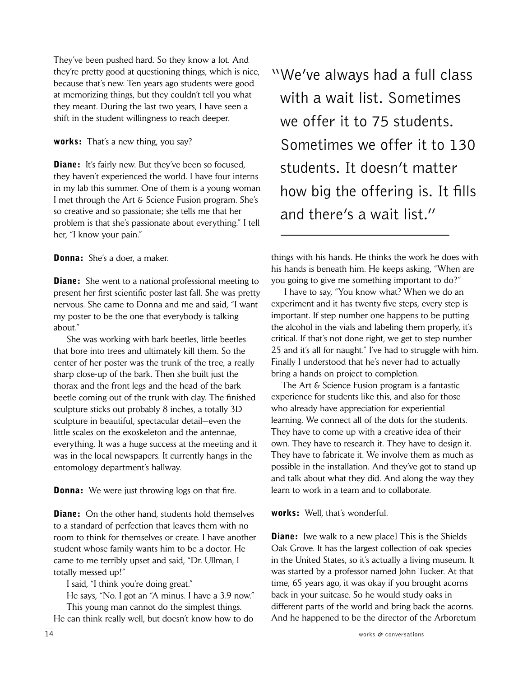They've been pushed hard. So they know a lot. And they're pretty good at questioning things, which is nice, because that's new. Ten years ago students were good at memorizing things, but they couldn't tell you what they meant. During the last two years, I have seen a shift in the student willingness to reach deeper.

#### works: That's a new thing, you say?

**Diane:** It's fairly new. But they've been so focused, they haven't experienced the world. I have four interns in my lab this summer. One of them is a young woman I met through the Art & Science Fusion program. She's so creative and so passionate; she tells me that her problem is that she's passionate about everything." I tell her, "I know your pain."

#### Donna: She's a doer, a maker.

**Diane:** She went to a national professional meeting to present her first scientific poster last fall. She was pretty nervous. She came to Donna and me and said, "I want my poster to be the one that everybody is talking about."

 She was working with bark beetles, little beetles that bore into trees and ultimately kill them. So the center of her poster was the trunk of the tree, a really sharp close-up of the bark. Then she built just the thorax and the front legs and the head of the bark beetle coming out of the trunk with clay. The finished sculpture sticks out probably 8 inches, a totally 3D sculpture in beautiful, spectacular detail—even the little scales on the exoskeleton and the antennae, everything. It was a huge success at the meeting and it was in the local newspapers. It currently hangs in the entomology department's hallway.

**Donna:** We were just throwing logs on that fire.

**Diane:** On the other hand, students hold themselves to a standard of perfection that leaves them with no room to think for themselves or create. I have another student whose family wants him to be a doctor. He came to me terribly upset and said, "Dr. Ullman, I totally messed up!"

I said, "I think you're doing great."

 He says, "No. I got an "A minus. I have a 3.9 now." This young man cannot do the simplest things.

14 works *&* conversations He can think really well, but doesn't know how to do

"We've always had a full class with a wait list. Sometimes we offer it to 75 students. Sometimes we offer it to 130 students. It doesn't matter how big the offering is. It fills and there's a wait list."

things with his hands. He thinks the work he does with his hands is beneath him. He keeps asking, "When are you going to give me something important to do?"

 I have to say, "You know what? When we do an experiment and it has twenty-five steps, every step is important. If step number one happens to be putting the alcohol in the vials and labeling them properly, it's critical. If that's not done right, we get to step number 25 and it's all for naught." I've had to struggle with him. Finally I understood that he's never had to actually bring a hands-on project to completion.

 The Art & Science Fusion program is a fantastic experience for students like this, and also for those who already have appreciation for experiential learning. We connect all of the dots for the students. They have to come up with a creative idea of their own. They have to research it. They have to design it. They have to fabricate it. We involve them as much as possible in the installation. And they've got to stand up and talk about what they did. And along the way they learn to work in a team and to collaborate.

#### works: Well, that's wonderful.

**Diane:** [we walk to a new place] This is the Shields Oak Grove. It has the largest collection of oak species in the United States, so it's actually a living museum. It was started by a professor named John Tucker. At that time, 65 years ago, it was okay if you brought acorns back in your suitcase. So he would study oaks in different parts of the world and bring back the acorns. And he happened to be the director of the Arboretum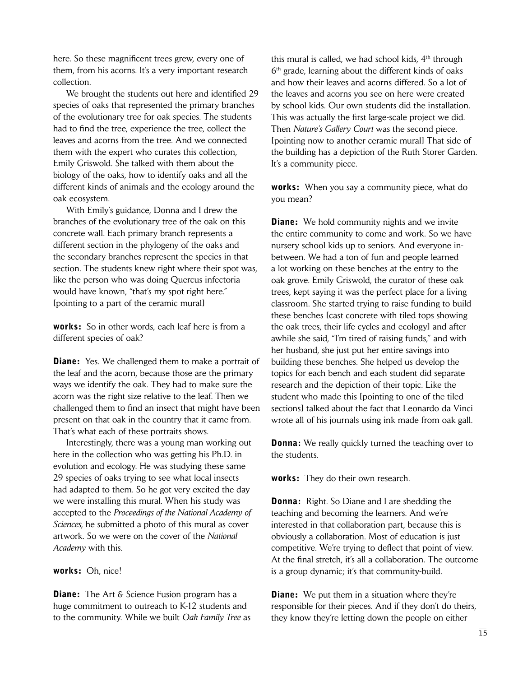here. So these magnificent trees grew, every one of them, from his acorns. It's a very important research collection.

 We brought the students out here and identified 29 species of oaks that represented the primary branches of the evolutionary tree for oak species. The students had to find the tree, experience the tree, collect the leaves and acorns from the tree. And we connected them with the expert who curates this collection, Emily Griswold. She talked with them about the biology of the oaks, how to identify oaks and all the different kinds of animals and the ecology around the oak ecosystem.

 With Emily's guidance, Donna and I drew the branches of the evolutionary tree of the oak on this concrete wall. Each primary branch represents a different section in the phylogeny of the oaks and the secondary branches represent the species in that section. The students knew right where their spot was, like the person who was doing Quercus infectoria would have known, "that's my spot right here." [pointing to a part of the ceramic mural]

**works:** So in other words, each leaf here is from a different species of oak?

**Diane:** Yes. We challenged them to make a portrait of the leaf and the acorn, because those are the primary ways we identify the oak. They had to make sure the acorn was the right size relative to the leaf. Then we challenged them to find an insect that might have been present on that oak in the country that it came from. That's what each of these portraits shows.

 Interestingly, there was a young man working out here in the collection who was getting his Ph.D. in evolution and ecology. He was studying these same 29 species of oaks trying to see what local insects had adapted to them. So he got very excited the day we were installing this mural. When his study was accepted to the *Proceedings of the National Academy of Sciences*, he submitted a photo of this mural as cover artwork. So we were on the cover of the *National Academy* with this.

#### works: Oh, nice!

**Diane:** The Art & Science Fusion program has a huge commitment to outreach to K-12 students and to the community. While we built *Oak Family Tree* as this mural is called, we had school kids,  $4<sup>th</sup>$  through 6th grade, learning about the different kinds of oaks and how their leaves and acorns differed. So a lot of the leaves and acorns you see on here were created by school kids. Our own students did the installation. This was actually the first large-scale project we did. Then *Nature's Gallery Court* was the second piece. [pointing now to another ceramic mural] That side of the building has a depiction of the Ruth Storer Garden. It's a community piece.

**works:** When you say a community piece, what do you mean?

**Diane:** We hold community nights and we invite the entire community to come and work. So we have nursery school kids up to seniors. And everyone inbetween. We had a ton of fun and people learned a lot working on these benches at the entry to the oak grove. Emily Griswold, the curator of these oak trees, kept saying it was the perfect place for a living classroom. She started trying to raise funding to build these benches [cast concrete with tiled tops showing the oak trees, their life cycles and ecology] and after awhile she said, "I'm tired of raising funds," and with her husband, she just put her entire savings into building these benches. She helped us develop the topics for each bench and each student did separate research and the depiction of their topic. Like the student who made this [pointing to one of the tiled sections] talked about the fact that Leonardo da Vinci wrote all of his journals using ink made from oak gall.

**Donna:** We really quickly turned the teaching over to the students.

works: They do their own research.

**Donna:** Right. So Diane and I are shedding the teaching and becoming the learners. And we're interested in that collaboration part, because this is obviously a collaboration. Most of education is just competitive. We're trying to deflect that point of view. At the final stretch, it's all a collaboration. The outcome is a group dynamic; it's that community-build.

**Diane:** We put them in a situation where they're responsible for their pieces. And if they don't do theirs, they know they're letting down the people on either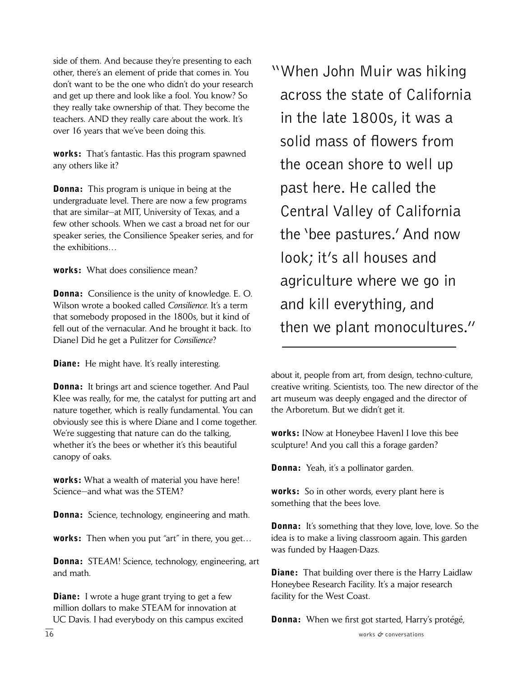side of them. And because they're presenting to each other, there's an element of pride that comes in. You don't want to be the one who didn't do your research and get up there and look like a fool. You know? So they really take ownership of that. They become the teachers. AND they really care about the work. It's over 16 years that we've been doing this.

works: That's fantastic. Has this program spawned any others like it?

**Donna:** This program is unique in being at the undergraduate level. There are now a few programs that are similar—at MIT, University of Texas, and a few other schools. When we cast a broad net for our speaker series, the Consilience Speaker series, and for the exhibitions…

works: What does consilience mean?

**Donna:** Consilience is the unity of knowledge. E. O. Wilson wrote a booked called *Consilience*. It's a term that somebody proposed in the 1800s, but it kind of fell out of the vernacular. And he brought it back. Ito Diane] Did he get a Pulitzer for *Consilience*?

**Diane:** He might have. It's really interesting.

**Donna:** It brings art and science together. And Paul Klee was really, for me, the catalyst for putting art and nature together, which is really fundamental. You can obviously see this is where Diane and I come together. We're suggesting that nature can do the talking, whether it's the bees or whether it's this beautiful canopy of oaks.

works: What a wealth of material you have here! Science—and what was the STEM?

**Donna:** Science, technology, engineering and math.

works: Then when you put "art" in there, you get...

Donna: STE*A*M! Science, technology, engineering, art and math.

**Diane:** I wrote a huge grant trying to get a few million dollars to make STEAM for innovation at UC Davis. I had everybody on this campus excited "When John Muir was hiking across the state of California in the late 1800s, it was a solid mass of flowers from the ocean shore to well up past here. He called the Central Valley of California the 'bee pastures.' And now look; it's all houses and agriculture where we go in and kill everything, and then we plant monocultures."

about it, people from art, from design, techno-culture, creative writing. Scientists, too. The new director of the art museum was deeply engaged and the director of the Arboretum. But we didn't get it.

works: [Now at Honeybee Haven] I love this bee sculpture! And you call this a forage garden?

**Donna:** Yeah, it's a pollinator garden.

**works:** So in other words, every plant here is something that the bees love.

**Donna:** It's something that they love, love, love. So the idea is to make a living classroom again. This garden was funded by Haagen-Dazs.

**Diane:** That building over there is the Harry Laidlaw Honeybee Research Facility. It's a major research facility for the West Coast.

**Donna:** When we first got started, Harry's protégé,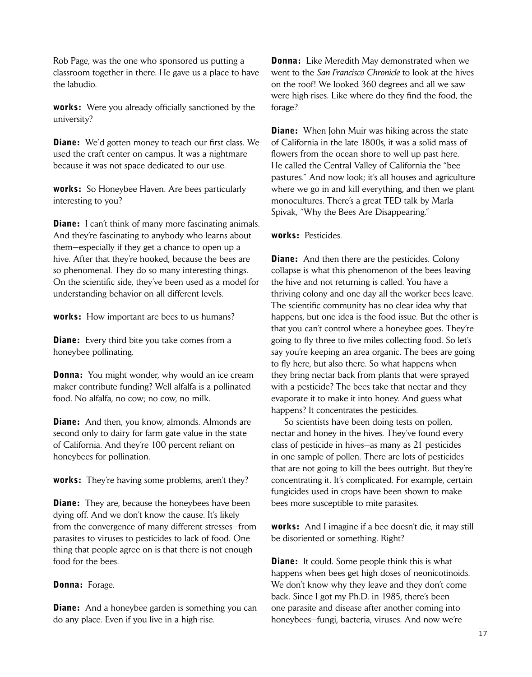Rob Page, was the one who sponsored us putting a classroom together in there. He gave us a place to have the labudio.

works: Were you already officially sanctioned by the university?

**Diane:** We'd gotten money to teach our first class. We used the craft center on campus. It was a nightmare because it was not space dedicated to our use.

works: So Honeybee Haven. Are bees particularly interesting to you?

**Diane:** I can't think of many more fascinating animals. And they're fascinating to anybody who learns about them—especially if they get a chance to open up a hive. After that they're hooked, because the bees are so phenomenal. They do so many interesting things. On the scientific side, they've been used as a model for understanding behavior on all different levels.

works: How important are bees to us humans?

**Diane:** Every third bite you take comes from a honeybee pollinating.

**Donna:** You might wonder, why would an ice cream maker contribute funding? Well alfalfa is a pollinated food. No alfalfa, no cow; no cow, no milk.

**Diane:** And then, you know, almonds. Almonds are second only to dairy for farm gate value in the state of California. And they're 100 percent reliant on honeybees for pollination.

works: They're having some problems, aren't they?

**Diane:** They are, because the honeybees have been dying off. And we don't know the cause. It's likely from the convergence of many different stresses—from parasites to viruses to pesticides to lack of food. One thing that people agree on is that there is not enough food for the bees.

#### Donna: Forage.

**Diane:** And a honeybee garden is something you can do any place. Even if you live in a high-rise.

**Donna:** Like Meredith May demonstrated when we went to the *San Francisco Chronicle* to look at the hives on the roof! We looked 360 degrees and all we saw were high-rises. Like where do they find the food, the forage?

**Diane:** When John Muir was hiking across the state of California in the late 1800s, it was a solid mass of flowers from the ocean shore to well up past here. He called the Central Valley of California the "bee pastures." And now look; it's all houses and agriculture where we go in and kill everything, and then we plant monocultures. There's a great TED talk by Marla Spivak, "Why the Bees Are Disappearing."

#### works: Pesticides.

**Diane:** And then there are the pesticides. Colony collapse is what this phenomenon of the bees leaving the hive and not returning is called. You have a thriving colony and one day all the worker bees leave. The scientific community has no clear idea why that happens, but one idea is the food issue. But the other is that you can't control where a honeybee goes. They're going to fly three to five miles collecting food. So let's say you're keeping an area organic. The bees are going to fly here, but also there. So what happens when they bring nectar back from plants that were sprayed with a pesticide? The bees take that nectar and they evaporate it to make it into honey. And guess what happens? It concentrates the pesticides.

 So scientists have been doing tests on pollen, nectar and honey in the hives. They've found every class of pesticide in hives—as many as 21 pesticides in one sample of pollen. There are lots of pesticides that are not going to kill the bees outright. But they're concentrating it. It's complicated. For example, certain fungicides used in crops have been shown to make bees more susceptible to mite parasites.

works: And I imagine if a bee doesn't die, it may still be disoriented or something. Right?

**Diane:** It could. Some people think this is what happens when bees get high doses of neonicotinoids. We don't know why they leave and they don't come back. Since I got my Ph.D. in 1985, there's been one parasite and disease after another coming into honeybees—fungi, bacteria, viruses. And now we're